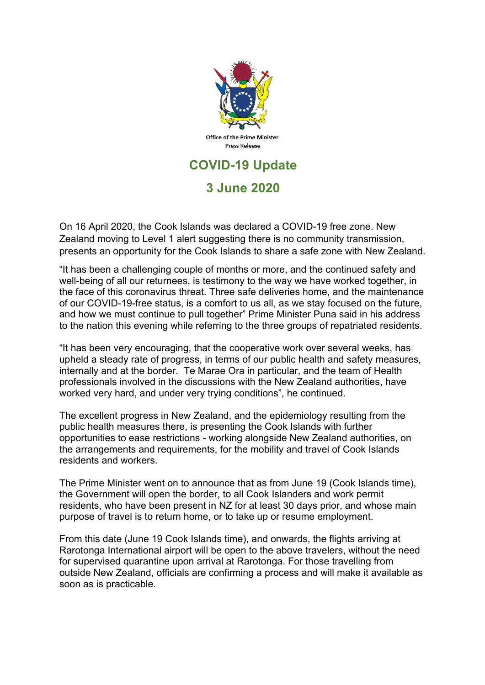

## **3 June 2020**

On 16 April 2020, the Cook Islands was declared a COVID-19 free zone. New Zealand moving to Level 1 alert suggesting there is no community transmission, presents an opportunity for the Cook Islands to share a safe zone with New Zealand.

"It has been a challenging couple of months or more, and the continued safety and well-being of all our returnees, is testimony to the way we have worked together, in the face of this coronavirus threat. Three safe deliveries home, and the maintenance of our COVID-19-free status, is a comfort to us all, as we stay focused on the future, and how we must continue to pull together" Prime Minister Puna said in his address to the nation this evening while referring to the three groups of repatriated residents.

"It has been very encouraging, that the cooperative work over several weeks, has upheld a steady rate of progress, in terms of our public health and safety measures, internally and at the border. Te Marae Ora in particular, and the team of Health professionals involved in the discussions with the New Zealand authorities, have worked very hard, and under very trying conditions", he continued.

The excellent progress in New Zealand, and the epidemiology resulting from the public health measures there, is presenting the Cook Islands with further opportunities to ease restrictions - working alongside New Zealand authorities, on the arrangements and requirements, for the mobility and travel of Cook Islands residents and workers.

The Prime Minister went on to announce that as from June 19 (Cook Islands time), the Government will open the border, to all Cook Islanders and work permit residents, who have been present in NZ for at least 30 days prior, and whose main purpose of travel is to return home, or to take up or resume employment.

From this date (June 19 Cook Islands time), and onwards, the flights arriving at Rarotonga International airport will be open to the above travelers, without the need for supervised quarantine upon arrival at Rarotonga. For those travelling from outside New Zealand, officials are confirming a process and will make it available as soon as is practicable.